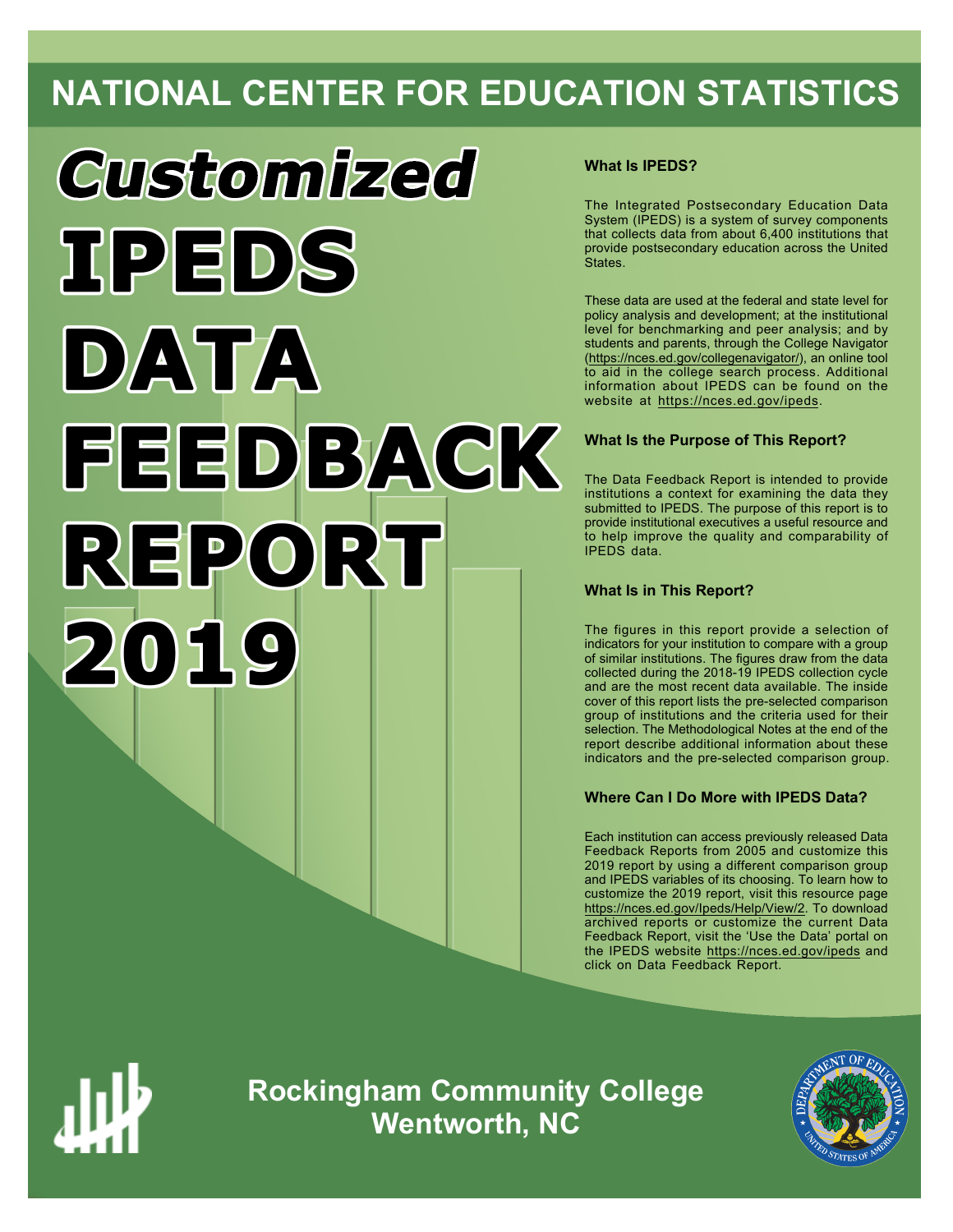## **NATIONAL CENTER FOR EDUCATION STATISTICS**

# **Customized TPEDS** DATA FEEDBACK REPORT 2019

#### **What Is IPEDS?**

The Integrated Postsecondary Education Data System (IPEDS) is a system of survey components that collects data from about 6,400 institutions that provide postsecondary education across the United States.

These data are used at the federal and state level for policy analysis and development; at the institutional level for benchmarking and peer analysis; and by students and parents, through the College Navigator ([https://nces.ed.gov/collegenavigator/\)](https://nces.ed.gov/collegenavigator/), an online tool to aid in the college search process. Additional information about IPEDS can be found on the website at<https://nces.ed.gov/ipeds>.

#### **What Is the Purpose of This Report?**

The Data Feedback Report is intended to provide institutions a context for examining the data they submitted to IPEDS. The purpose of this report is to provide institutional executives a useful resource and to help improve the quality and comparability of IPEDS data.

#### **What Is in This Report?**

The figures in this report provide a selection of indicators for your institution to compare with a group of similar institutions. The figures draw from the data collected during the 2018-19 IPEDS collection cycle and are the most recent data available. The inside cover of this report lists the pre-selected comparison group of institutions and the criteria used for their selection. The Methodological Notes at the end of the report describe additional information about these indicators and the pre-selected comparison group.

#### **Where Can I Do More with IPEDS Data?**

Each institution can access previously released Data Feedback Reports from 2005 and customize this 2019 report by using a different comparison group and IPEDS variables of its choosing. To learn how to customize the 2019 report, visit this resource page <https://nces.ed.gov/Ipeds/Help/View/2>. To download archived reports or customize the current Data Feedback Report, visit the 'Use the Data' portal on the IPEDS website<https://nces.ed.gov/ipeds> and click on Data Feedback Report.



**Rockingham Community College Wentworth, NC**

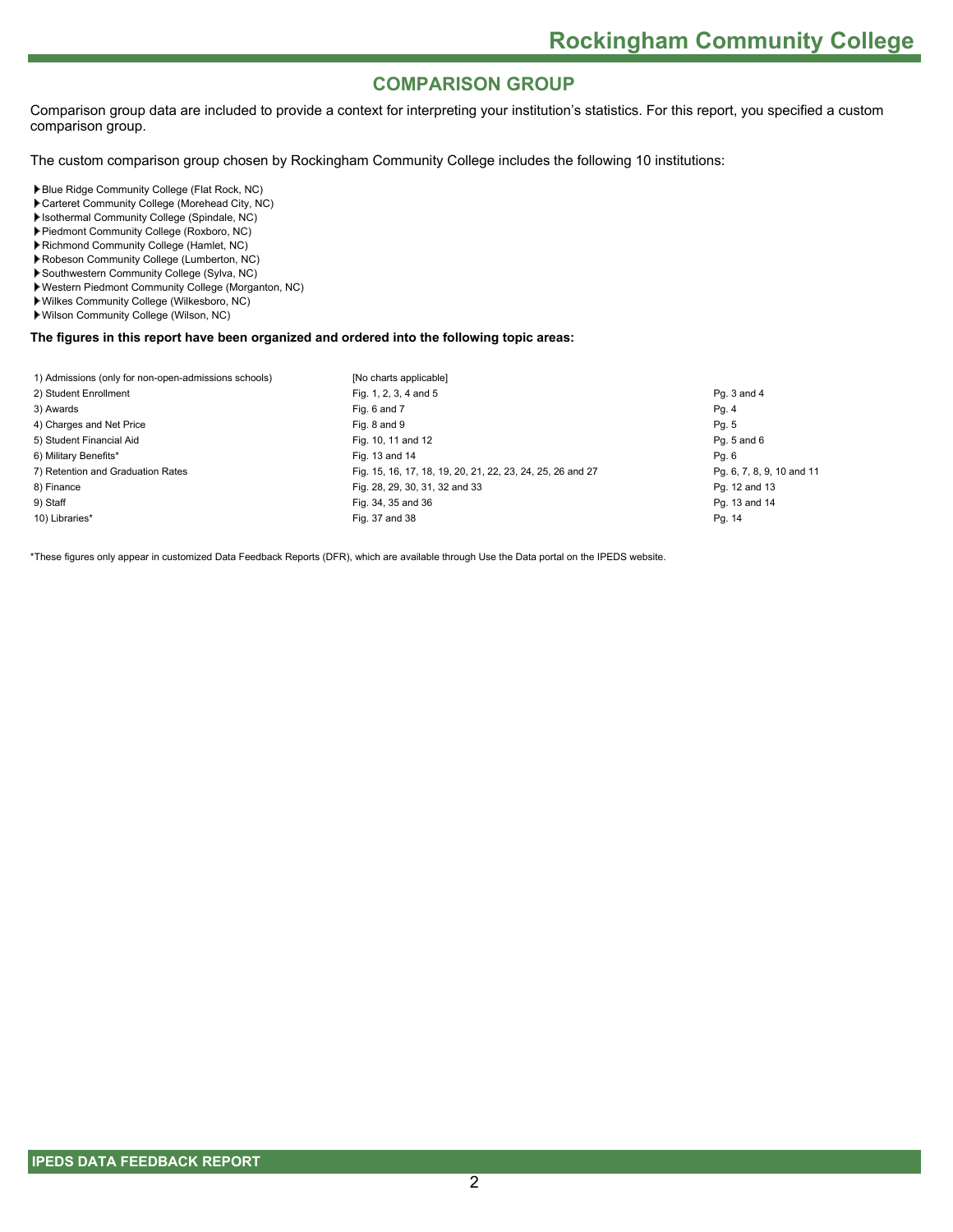#### **COMPARISON GROUP**

Comparison group data are included to provide a context for interpreting your institution's statistics. For this report, you specified a custom comparison group.

The custom comparison group chosen by Rockingham Community College includes the following 10 institutions:

Blue Ridge Community College (Flat Rock, NC)

- Carteret Community College (Morehead City, NC)
- Isothermal Community College (Spindale, NC)
- Piedmont Community College (Roxboro, NC)
- Richmond Community College (Hamlet, NC)
- Robeson Community College (Lumberton, NC)
- Southwestern Community College (Sylva, NC)
- Western Piedmont Community College (Morganton, NC)
- Wilkes Community College (Wilkesboro, NC)
- Wilson Community College (Wilson, NC)

**The figures in this report have been organized and ordered into the following topic areas:**

| 1) Admissions (only for non-open-admissions schools) | [No charts applicable]                                     |                           |
|------------------------------------------------------|------------------------------------------------------------|---------------------------|
| 2) Student Enrollment                                | Fig. 1, 2, 3, 4 and 5                                      | Pg. 3 and 4               |
| 3) Awards                                            | Fig. 6 and 7                                               | Pg. 4                     |
| 4) Charges and Net Price                             | Fig. 8 and 9                                               | Pg. 5                     |
| 5) Student Financial Aid                             | Fig. 10, 11 and 12                                         | Pg. 5 and 6               |
| 6) Military Benefits*                                | Fig. 13 and 14                                             | Pg. 6                     |
| 7) Retention and Graduation Rates                    | Fig. 15, 16, 17, 18, 19, 20, 21, 22, 23, 24, 25, 26 and 27 | Pg. 6, 7, 8, 9, 10 and 11 |
| 8) Finance                                           | Fig. 28, 29, 30, 31, 32 and 33                             | Pg. 12 and 13             |
| 9) Staff                                             | Fig. 34, 35 and 36                                         | Pg. 13 and 14             |
| 10) Libraries*                                       | Fig. 37 and 38                                             | Pg. 14                    |
|                                                      |                                                            |                           |

\*These figures only appear in customized Data Feedback Reports (DFR), which are available through Use the Data portal on the IPEDS website.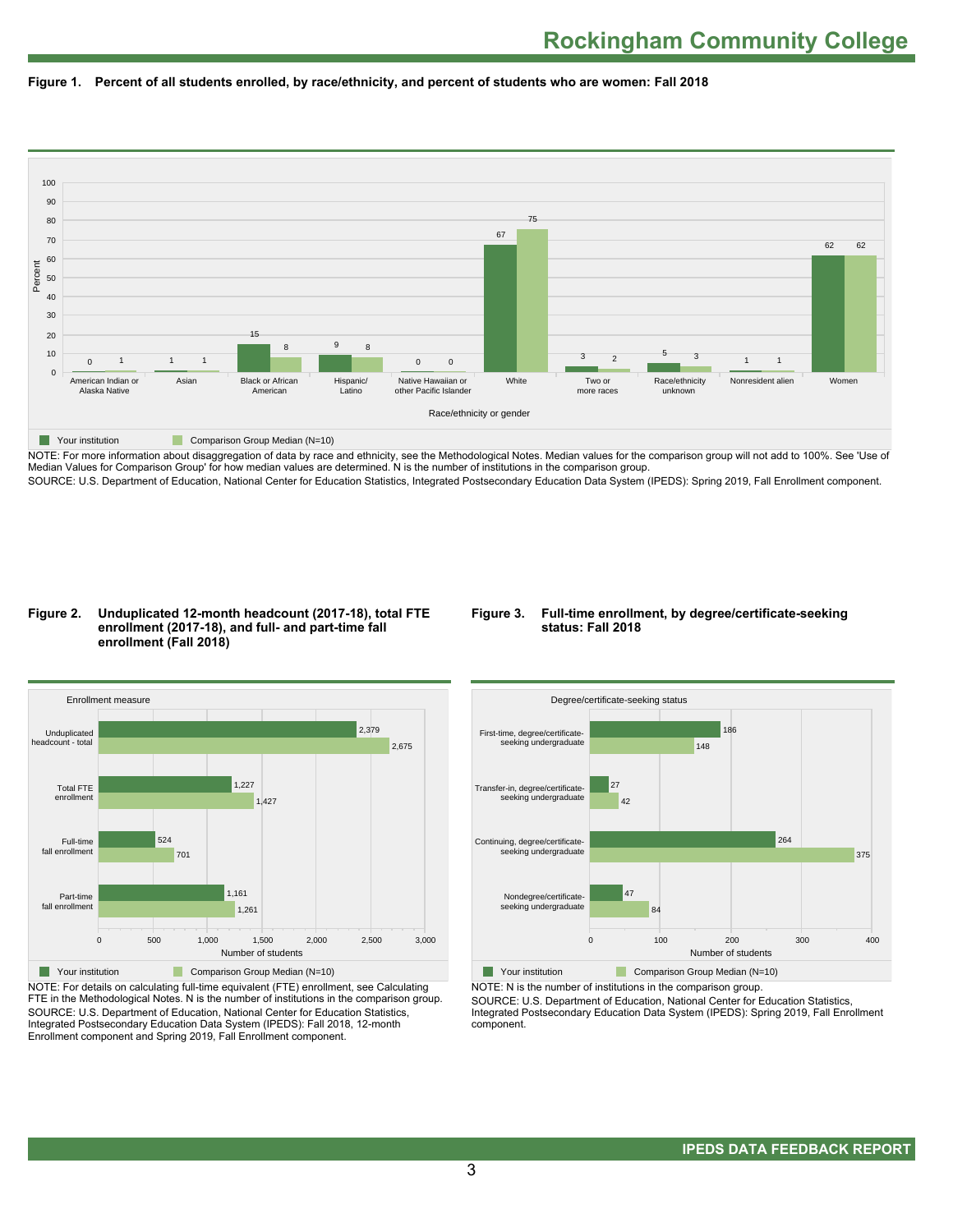



NOTE: For more information about disaggregation of data by race and ethnicity, see the Methodological Notes. Median values for the comparison group will not add to 100%. See 'Use of Median Values for Comparison Group' for how median values are determined. N is the number of institutions in the comparison group. SOURCE: U.S. Department of Education, National Center for Education Statistics, Integrated Postsecondary Education Data System (IPEDS): Spring 2019, Fall Enrollment component.

#### **Figure 2. Unduplicated 12-month headcount (2017-18), total FTE enrollment (2017-18), and full- and part-time fall enrollment (Fall 2018)**

#### **Figure 3. Full-time enrollment, by degree/certificate-seeking status: Fall 2018**



NOTE: For details on calculating full-time equivalent (FTE) enrollment, see Calculating FTE in the Methodological Notes. N is the number of institutions in the comparison group. SOURCE: U.S. Department of Education, National Center for Education Statistics, Integrated Postsecondary Education Data System (IPEDS): Fall 2018, 12-month Enrollment component and Spring 2019, Fall Enrollment component.



NOTE: N is the number of institutions in the comparison group.

SOURCE: U.S. Department of Education, National Center for Education Statistics, Integrated Postsecondary Education Data System (IPEDS): Spring 2019, Fall Enrollment component.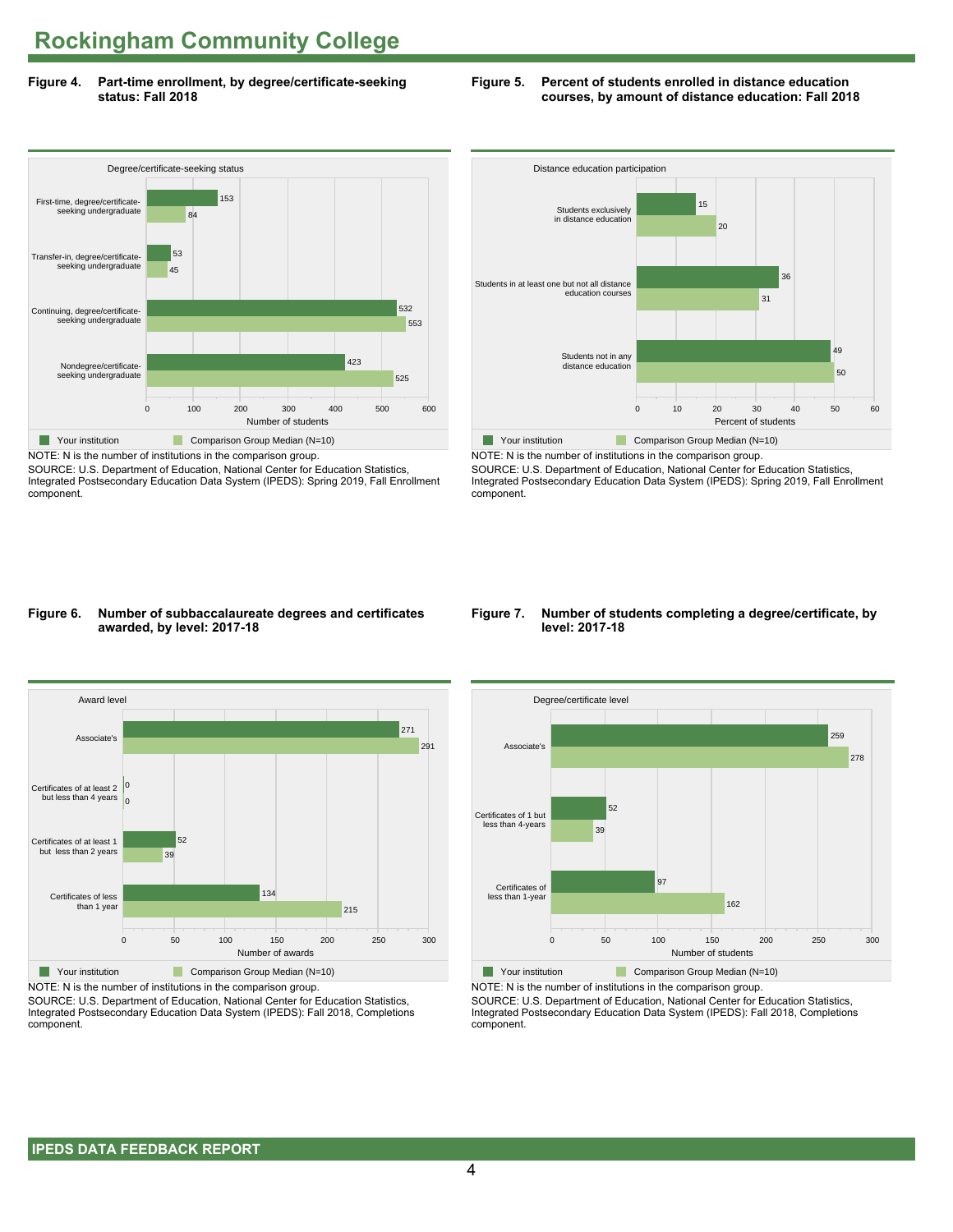**Figure 4. Part-time enrollment, by degree/certificate-seeking status: Fall 2018**

#### **Figure 5. Percent of students enrolled in distance education courses, by amount of distance education: Fall 2018**



NOTE: N is the number of institutions in the comparison group. SOURCE: U.S. Department of Education, National Center for Education Statistics,

Integrated Postsecondary Education Data System (IPEDS): Spring 2019, Fall Enrollment component.



NOTE: N is the number of institutions in the comparison group. SOURCE: U.S. Department of Education, National Center for Education Statistics,

Integrated Postsecondary Education Data System (IPEDS): Spring 2019, Fall Enrollment component.

#### **Figure 6. Number of subbaccalaureate degrees and certificates awarded, by level: 2017-18**



NOTE: N is the number of institutions in the comparison group.

SOURCE: U.S. Department of Education, National Center for Education Statistics, Integrated Postsecondary Education Data System (IPEDS): Fall 2018, Completions component.

#### **Figure 7. Number of students completing a degree/certificate, by level: 2017-18**



NOTE: N is the number of institutions in the comparison group.

SOURCE: U.S. Department of Education, National Center for Education Statistics, Integrated Postsecondary Education Data System (IPEDS): Fall 2018, Completions component.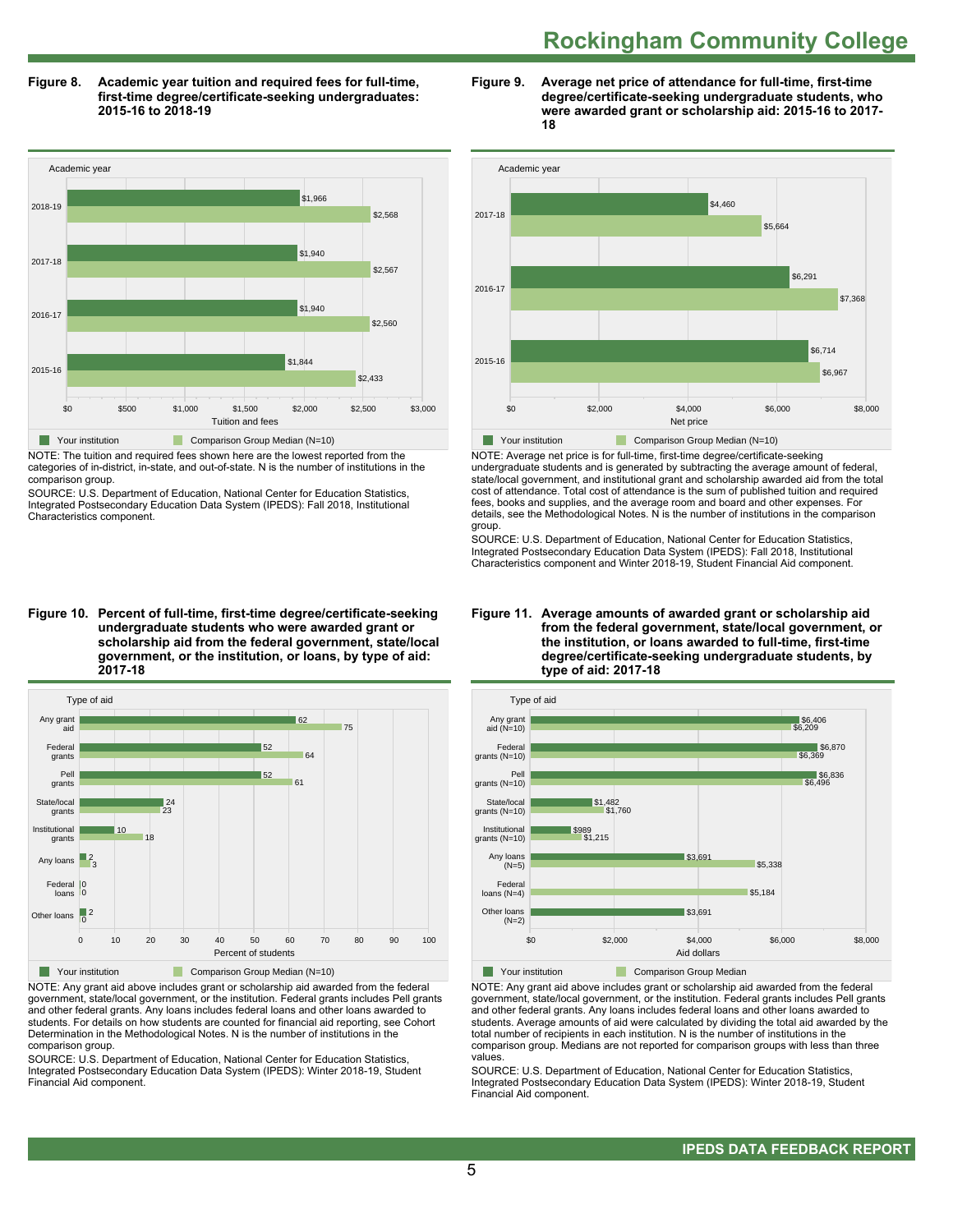**Figure 8. Academic year tuition and required fees for full-time, first-time degree/certificate-seeking undergraduates: 2015-16 to 2018-19**



NOTE: The tuition and required fees shown here are the lowest reported from the categories of in-district, in-state, and out-of-state. N is the number of institutions in the comparison group.

SOURCE: U.S. Department of Education, National Center for Education Statistics, Integrated Postsecondary Education Data System (IPEDS): Fall 2018, Institutional Characteristics component.

**Figure 10. Percent of full-time, first-time degree/certificate-seeking undergraduate students who were awarded grant or scholarship aid from the federal government, state/local government, or the institution, or loans, by type of aid: 2017-18**



NOTE: Any grant aid above includes grant or scholarship aid awarded from the federal government, state/local government, or the institution. Federal grants includes Pell grants and other federal grants. Any loans includes federal loans and other loans awarded to students. For details on how students are counted for financial aid reporting, see Cohort Determination in the Methodological Notes. N is the number of institutions in the comparison group.

SOURCE: U.S. Department of Education, National Center for Education Statistics, Integrated Postsecondary Education Data System (IPEDS): Winter 2018-19, Student Financial Aid component.





NOTE: Average net price is for full-time, first-time degree/certificate-seeking undergraduate students and is generated by subtracting the average amount of federal, state/local government, and institutional grant and scholarship awarded aid from the total cost of attendance. Total cost of attendance is the sum of published tuition and required fees, books and supplies, and the average room and board and other expenses. For details, see the Methodological Notes. N is the number of institutions in the comparison group.

SOURCE: U.S. Department of Education, National Center for Education Statistics, Integrated Postsecondary Education Data System (IPEDS): Fall 2018, Institutional Characteristics component and Winter 2018-19, Student Financial Aid component.





**The Your institution Comparison Group Median** 

NOTE: Any grant aid above includes grant or scholarship aid awarded from the federal government, state/local government, or the institution. Federal grants includes Pell grants and other federal grants. Any loans includes federal loans and other loans awarded to students. Average amounts of aid were calculated by dividing the total aid awarded by the total number of recipients in each institution. N is the number of institutions in the comparison group. Medians are not reported for comparison groups with less than three values.

SOURCE: U.S. Department of Education, National Center for Education Statistics, Integrated Postsecondary Education Data System (IPEDS): Winter 2018-19, Student Financial Aid component.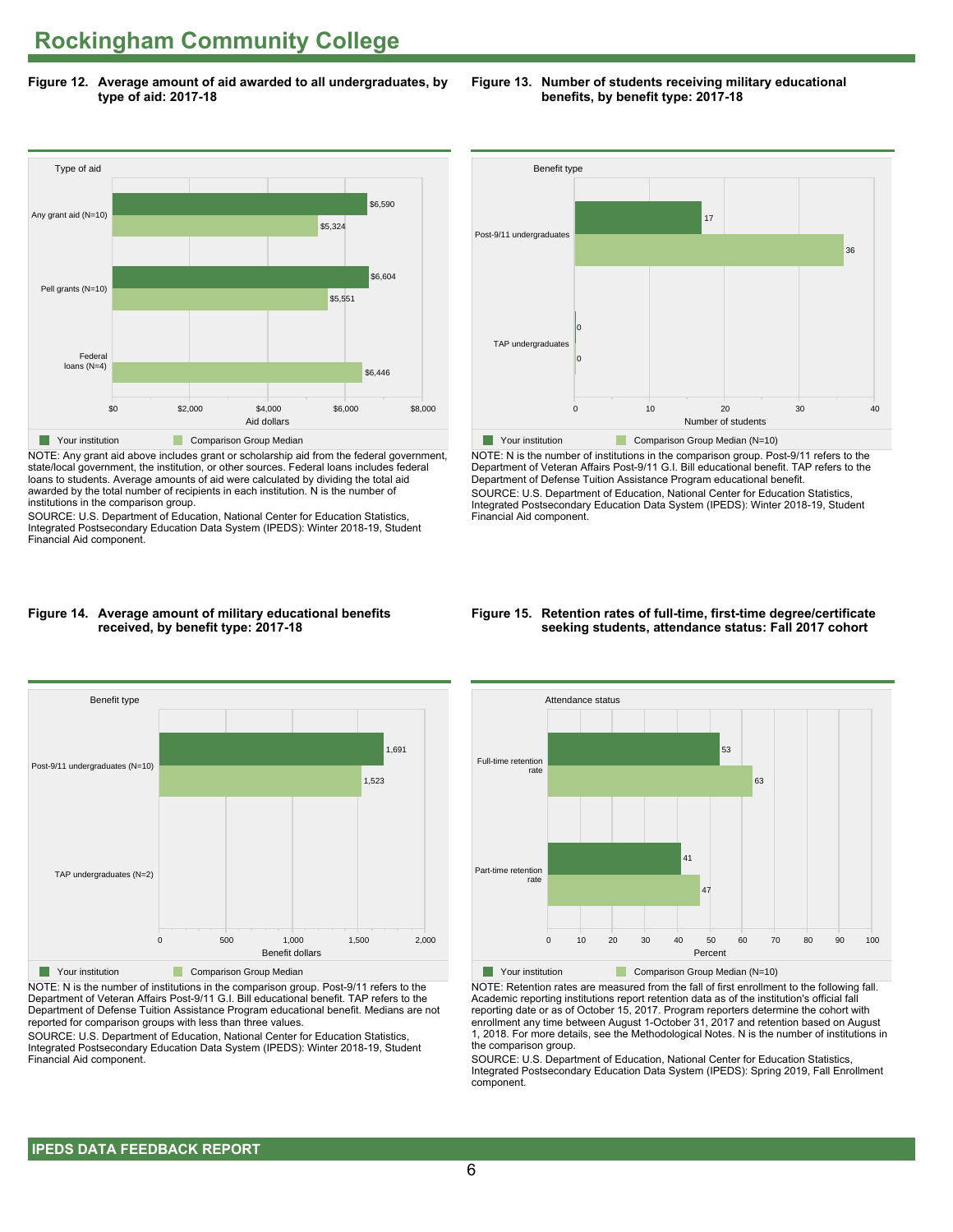**Figure 12. Average amount of aid awarded to all undergraduates, by type of aid: 2017-18**



NOTE: Any grant aid above includes grant or scholarship aid from the federal government, state/local government, the institution, or other sources. Federal loans includes federal loans to students. Average amounts of aid were calculated by dividing the total aid awarded by the total number of recipients in each institution. N is the number of institutions in the comparison group.

SOURCE: U.S. Department of Education, National Center for Education Statistics, Integrated Postsecondary Education Data System (IPEDS): Winter 2018-19, Student Financial Aid component.



**Figure 13. Number of students receiving military educational benefits, by benefit type: 2017-18**

NOTE: N is the number of institutions in the comparison group. Post-9/11 refers to the Department of Veteran Affairs Post-9/11 G.I. Bill educational benefit. TAP refers to the Department of Defense Tuition Assistance Program educational benefit. SOURCE: U.S. Department of Education, National Center for Education Statistics, Integrated Postsecondary Education Data System (IPEDS): Winter 2018-19, Student Financial Aid component.

#### **Figure 14. Average amount of military educational benefits received, by benefit type: 2017-18**



NOTE: N is the number of institutions in the comparison group. Post-9/11 refers to the Department of Veteran Affairs Post-9/11 G.I. Bill educational benefit. TAP refers to the Department of Defense Tuition Assistance Program educational benefit. Medians are not reported for comparison groups with less than three values.

SOURCE: U.S. Department of Education, National Center for Education Statistics, Integrated Postsecondary Education Data System (IPEDS): Winter 2018-19, Student Financial Aid component.

#### **Figure 15. Retention rates of full-time, first-time degree/certificate seeking students, attendance status: Fall 2017 cohort**



NOTE: Retention rates are measured from the fall of first enrollment to the following fall. Academic reporting institutions report retention data as of the institution's official fall reporting date or as of October 15, 2017. Program reporters determine the cohort with enrollment any time between August 1-October 31, 2017 and retention based on August 1, 2018. For more details, see the Methodological Notes. N is the number of institutions in the comparison group.

SOURCE: U.S. Department of Education, National Center for Education Statistics, Integrated Postsecondary Education Data System (IPEDS): Spring 2019, Fall Enrollment component.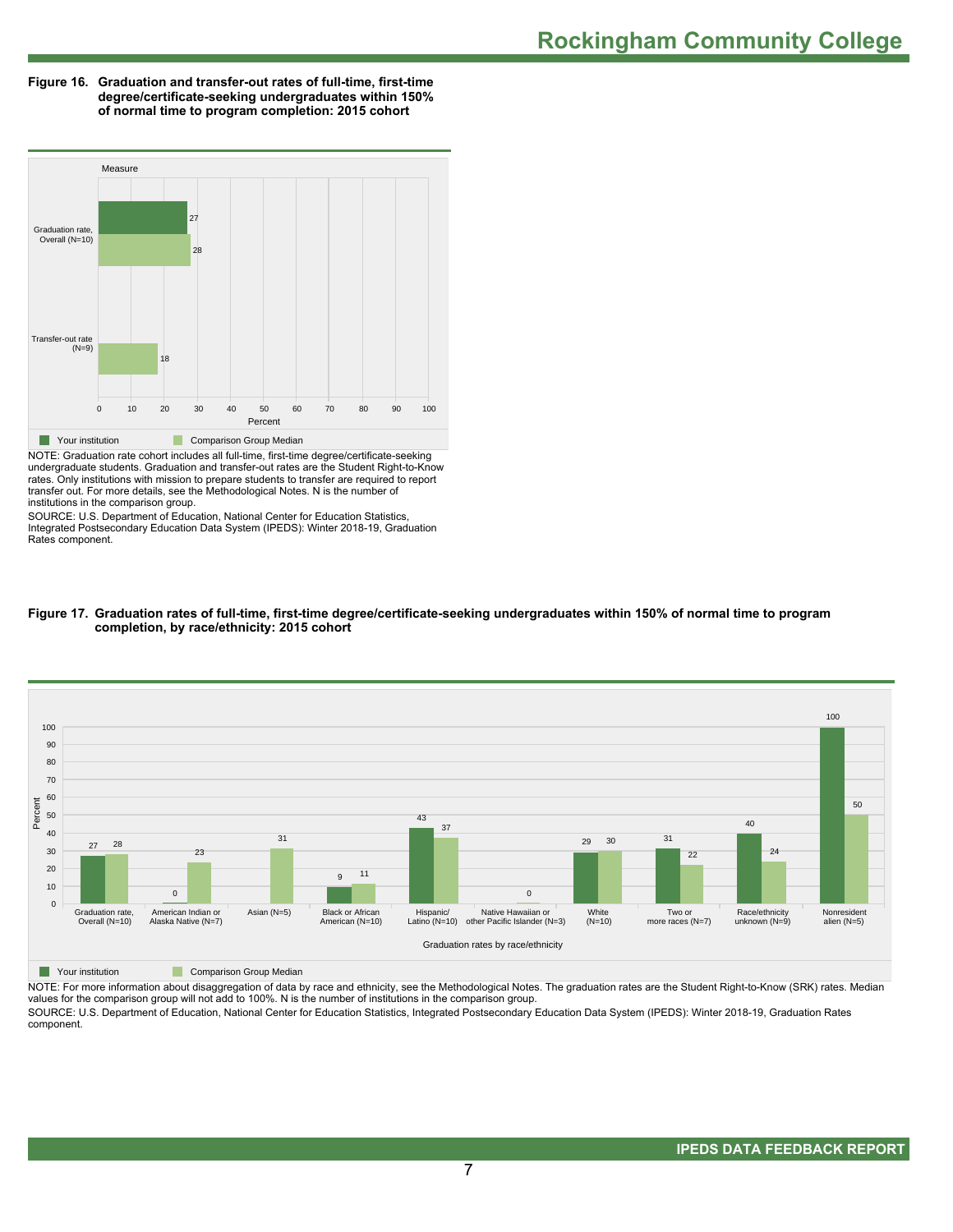**Figure 16. Graduation and transfer-out rates of full-time, first-time degree/certificate-seeking undergraduates within 150% of normal time to program completion: 2015 cohort**



NOTE: Graduation rate cohort includes all full-time, first-time degree/certificate-seeking undergraduate students. Graduation and transfer-out rates are the Student Right-to-Know rates. Only institutions with mission to prepare students to transfer are required to report transfer out. For more details, see the Methodological Notes. N is the number of institutions in the comparison group.

SOURCE: U.S. Department of Education, National Center for Education Statistics, Integrated Postsecondary Education Data System (IPEDS): Winter 2018-19, Graduation Rates component.





**The Your institution Comparison Group Median** 

NOTE: For more information about disaggregation of data by race and ethnicity, see the Methodological Notes. The graduation rates are the Student Right-to-Know (SRK) rates. Median values for the comparison group will not add to 100%. N is the number of institutions in the comparison group.

SOURCE: U.S. Department of Education, National Center for Education Statistics, Integrated Postsecondary Education Data System (IPEDS): Winter 2018-19, Graduation Rates component.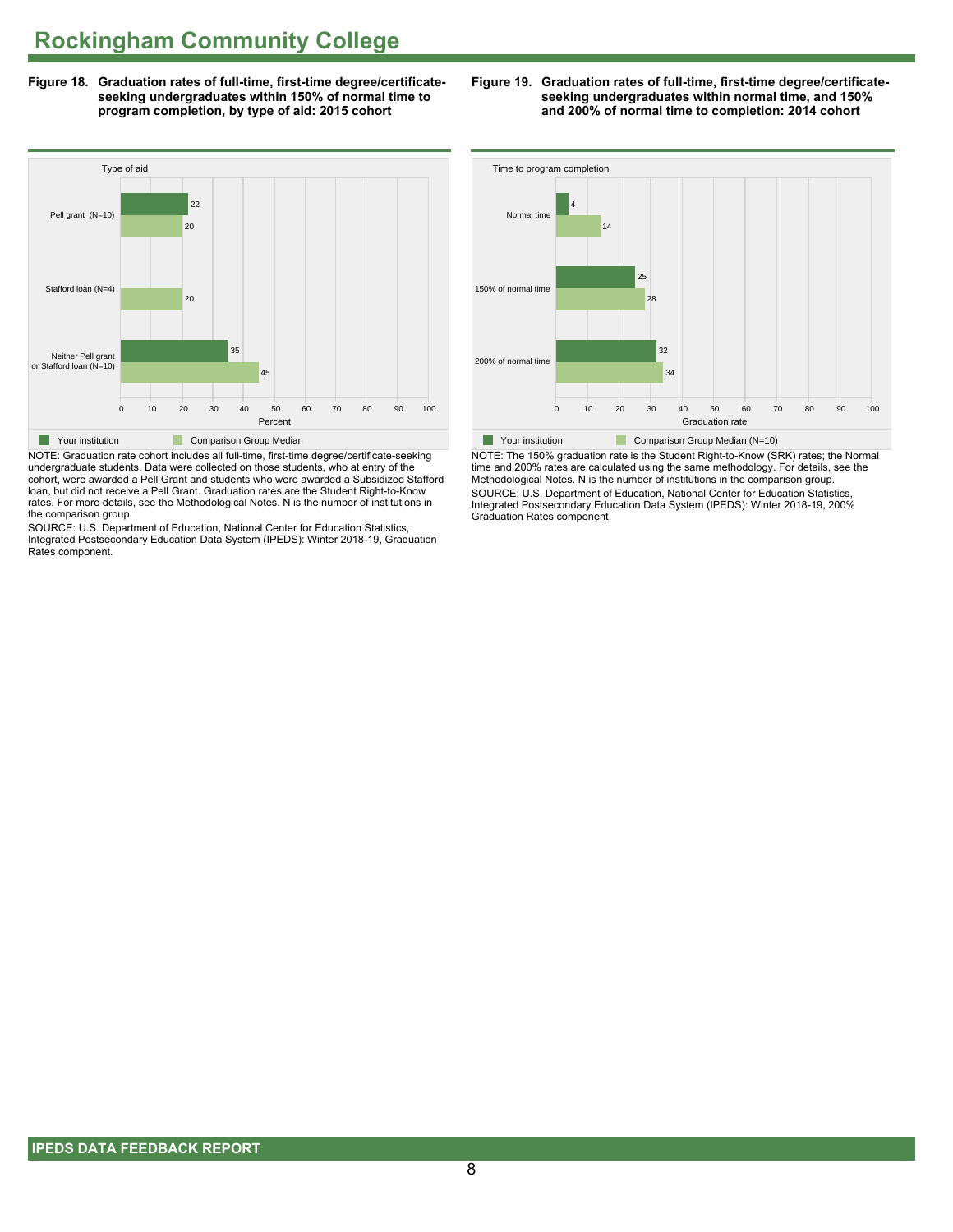**Figure 18. Graduation rates of full-time, first-time degree/certificateseeking undergraduates within 150% of normal time to program completion, by type of aid: 2015 cohort**



NOTE: Graduation rate cohort includes all full-time, first-time degree/certificate-seeking undergraduate students. Data were collected on those students, who at entry of the cohort, were awarded a Pell Grant and students who were awarded a Subsidized Stafford loan, but did not receive a Pell Grant. Graduation rates are the Student Right-to-Know rates. For more details, see the Methodological Notes. N is the number of institutions in the comparison group.

SOURCE: U.S. Department of Education, National Center for Education Statistics, Integrated Postsecondary Education Data System (IPEDS): Winter 2018-19, Graduation Rates component.





NOTE: The 150% graduation rate is the Student Right-to-Know (SRK) rates; the Normal time and 200% rates are calculated using the same methodology. For details, see the Methodological Notes. N is the number of institutions in the comparison group. SOURCE: U.S. Department of Education, National Center for Education Statistics, Integrated Postsecondary Education Data System (IPEDS): Winter 2018-19, 200% Graduation Rates component.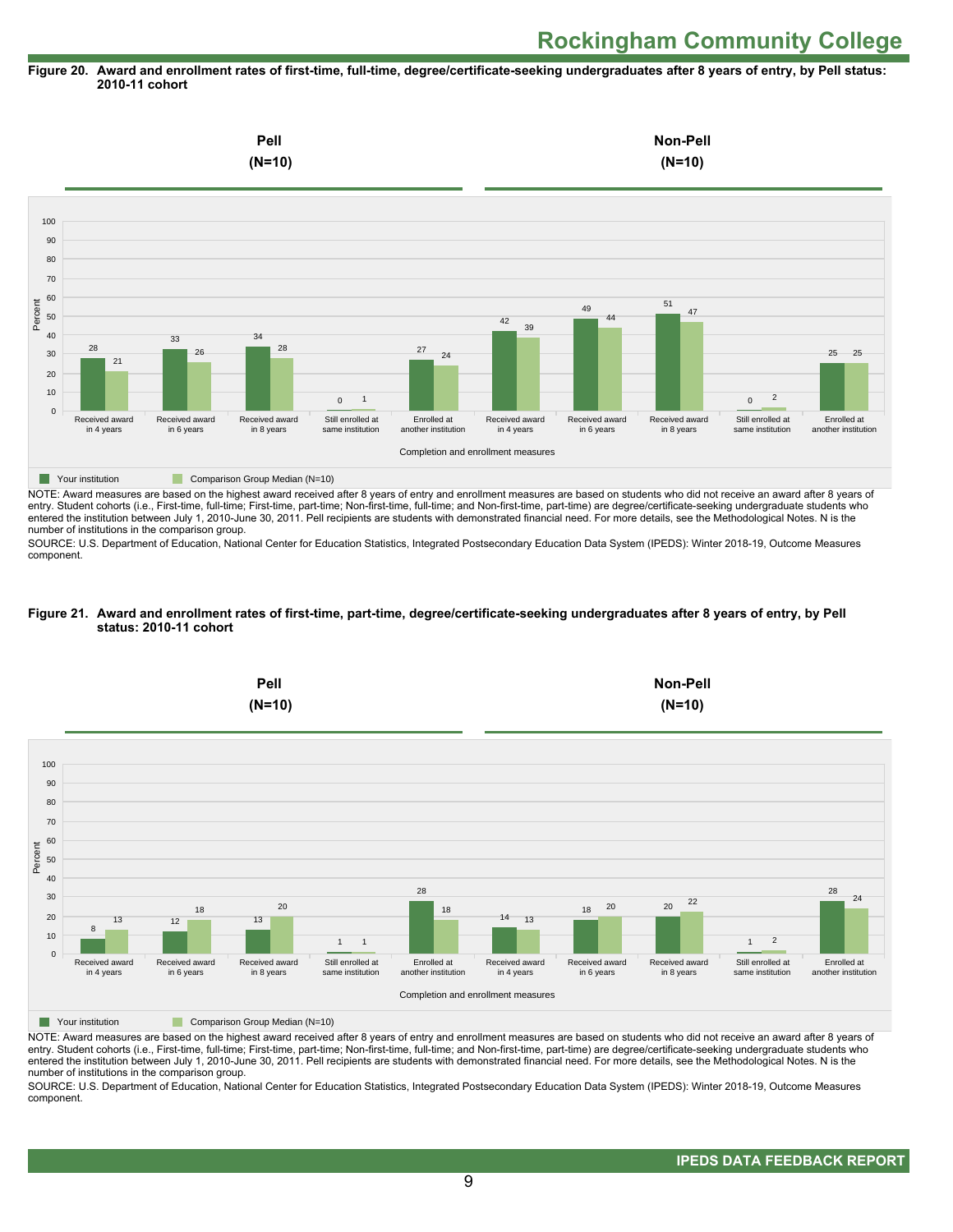#### **Figure 20. Award and enrollment rates of first-time, full-time, degree/certificate-seeking undergraduates after 8 years of entry, by Pell status: 2010-11 cohort**



NOTE: Award measures are based on the highest award received after 8 years of entry and enrollment measures are based on students who did not receive an award after 8 years of entry. Student cohorts (i.e., First-time, full-time; First-time, part-time; Non-first-time, full-time; and Non-first-time, part-time) are degree/certificate-seeking undergraduate students who entered the institution between July 1, 2010-June 30, 2011. Pell recipients are students with demonstrated financial need. For more details, see the Methodological Notes. N is the number of institutions in the comparison group.

SOURCE: U.S. Department of Education, National Center for Education Statistics, Integrated Postsecondary Education Data System (IPEDS): Winter 2018-19, Outcome Measures component.

#### **Figure 21. Award and enrollment rates of first-time, part-time, degree/certificate-seeking undergraduates after 8 years of entry, by Pell status: 2010-11 cohort**



NOTE: Award measures are based on the highest award received after 8 years of entry and enrollment measures are based on students who did not receive an award after 8 years of entry. Student cohorts (i.e., First-time, full-time; First-time, part-time; Non-first-time, full-time; and Non-first-time, part-time) are degree/certificate-seeking undergraduate students who entered the institution between July 1, 2010-June 30, 2011. Pell recipients are students with demonstrated financial need. For more details, see the Methodological Notes. N is the number of institutions in the comparison group.

SOURCE: U.S. Department of Education, National Center for Education Statistics, Integrated Postsecondary Education Data System (IPEDS): Winter 2018-19, Outcome Measures component.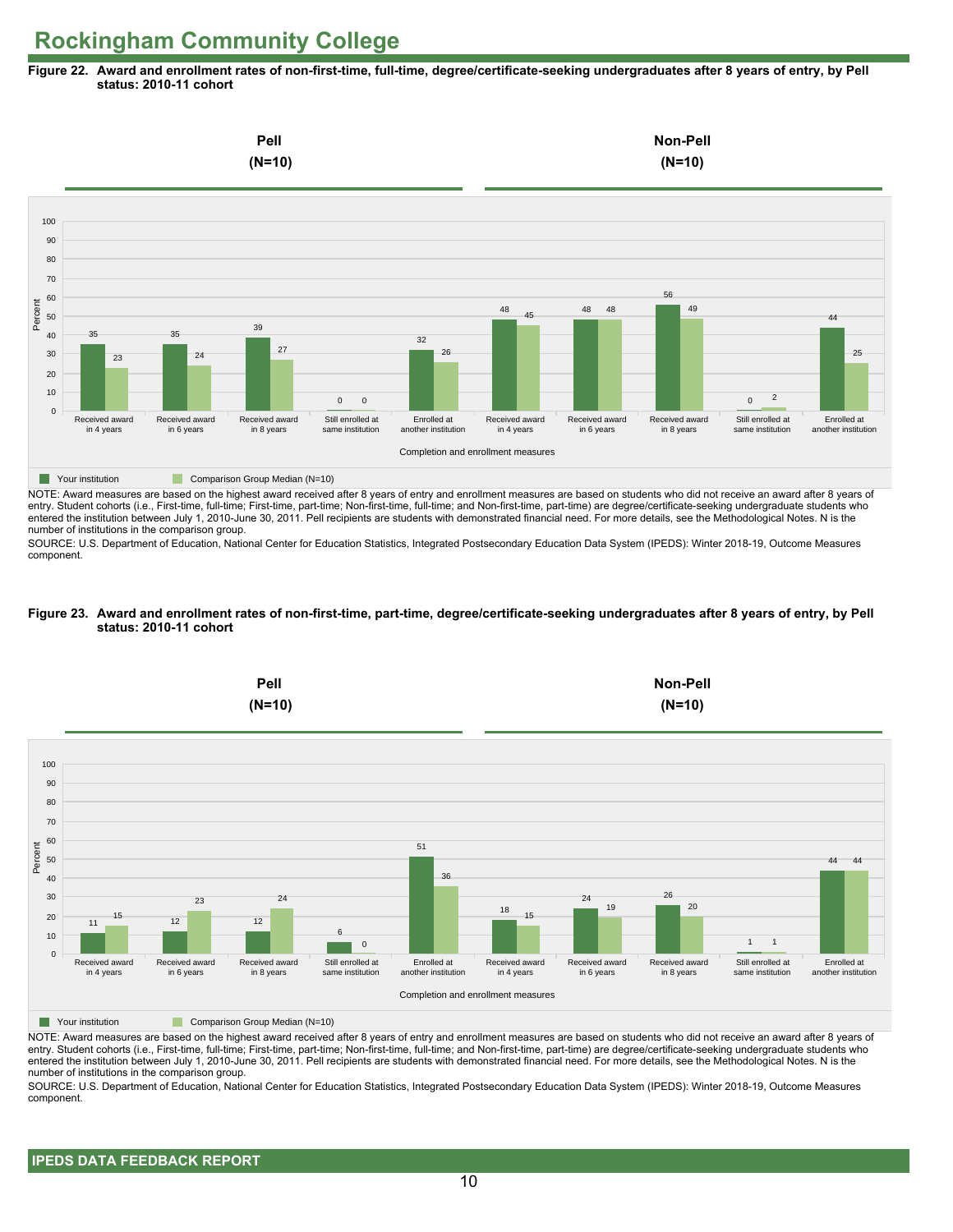**Figure 22. Award and enrollment rates of non-first-time, full-time, degree/certificate-seeking undergraduates after 8 years of entry, by Pell status: 2010-11 cohort**



NOTE: Award measures are based on the highest award received after 8 years of entry and enrollment measures are based on students who did not receive an award after 8 years of entry. Student cohorts (i.e., First-time, full-time; First-time, part-time; Non-first-time, full-time; and Non-first-time, part-time) are degree/certificate-seeking undergraduate students who entered the institution between July 1, 2010-June 30, 2011. Pell recipients are students with demonstrated financial need. For more details, see the Methodological Notes. N is the number of institutions in the comparison group.

SOURCE: U.S. Department of Education, National Center for Education Statistics, Integrated Postsecondary Education Data System (IPEDS): Winter 2018-19, Outcome Measures component.

#### **Figure 23. Award and enrollment rates of non-first-time, part-time, degree/certificate-seeking undergraduates after 8 years of entry, by Pell status: 2010-11 cohort**



NOTE: Award measures are based on the highest award received after 8 years of entry and enrollment measures are based on students who did not receive an award after 8 years of entry. Student cohorts (i.e., First-time, full-time; First-time, part-time; Non-first-time, full-time; and Non-first-time, part-time) are degree/certificate-seeking undergraduate students who entered the institution between July 1, 2010-June 30, 2011. Pell recipients are students with demonstrated financial need. For more details, see the Methodological Notes. N is the number of institutions in the comparison group.

SOURCE: U.S. Department of Education, National Center for Education Statistics, Integrated Postsecondary Education Data System (IPEDS): Winter 2018-19, Outcome Measures component.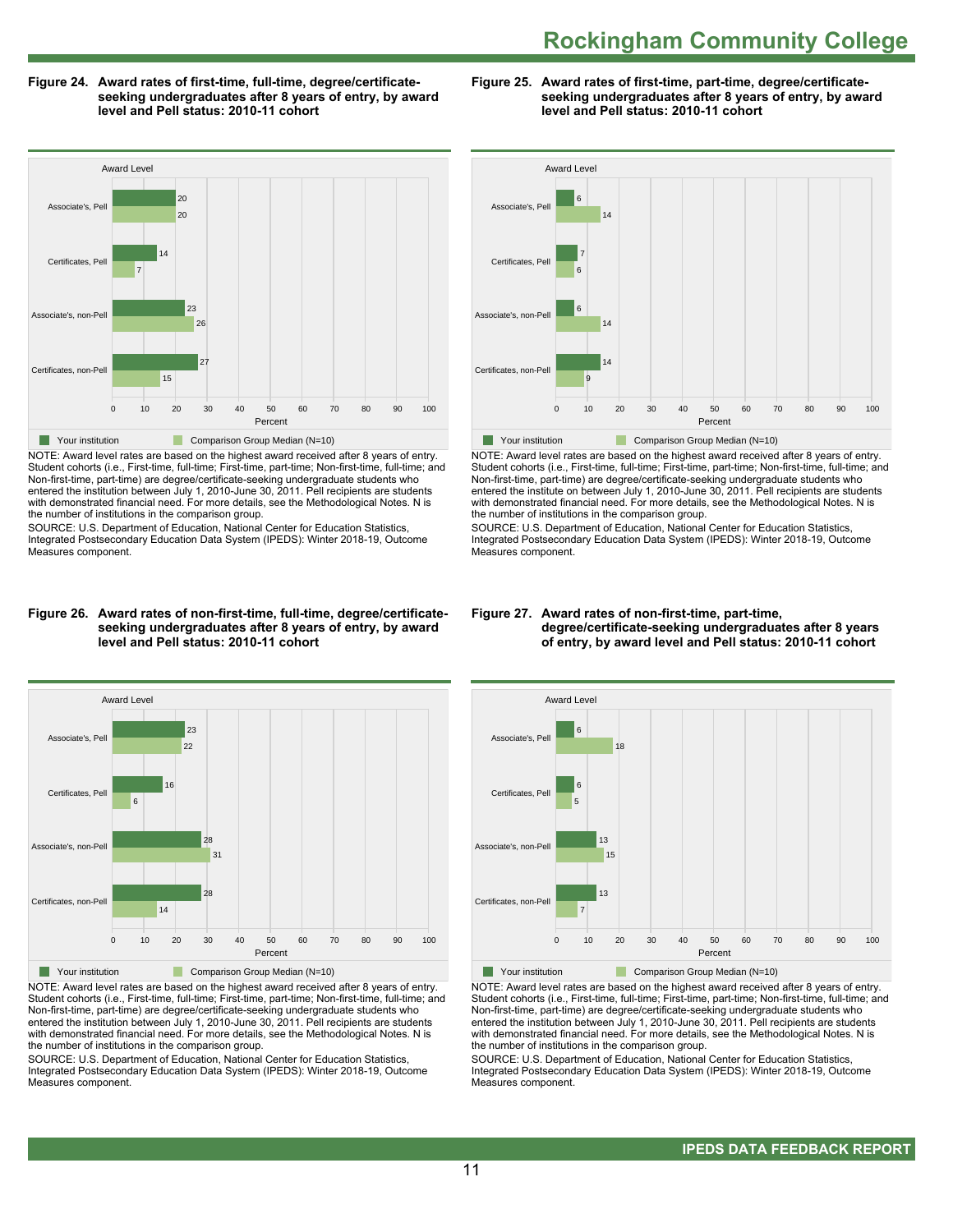**Figure 24. Award rates of first-time, full-time, degree/certificateseeking undergraduates after 8 years of entry, by award level and Pell status: 2010-11 cohort**

**Figure 25. Award rates of first-time, part-time, degree/certificateseeking undergraduates after 8 years of entry, by award level and Pell status: 2010-11 cohort**

Awar

Award Level



NOTE: Award level rates are based on the highest award received after 8 years of entry. Student cohorts (i.e., First-time, full-time; First-time, part-time; Non-first-time, full-time; and Non-first-time, part-time) are degree/certificate-seeking undergraduate students who entered the institution between July 1, 2010-June 30, 2011. Pell recipients are students with demonstrated financial need. For more details, see the Methodological Notes. N is the number of institutions in the comparison group.

SOURCE: U.S. Department of Education, National Center for Education Statistics, Integrated Postsecondary Education Data System (IPEDS): Winter 2018-19, Outcome Measures component.



NOTE: Award level rates are based on the highest award received after 8 years of entry. Student cohorts (i.e., First-time, full-time; First-time, part-time; Non-first-time, full-time; and Non-first-time, part-time) are degree/certificate-seeking undergraduate students who entered the institute on between July 1, 2010-June 30, 2011. Pell recipients are students with demonstrated financial need. For more details, see the Methodological Notes. N is the number of institutions in the comparison group.

SOURCE: U.S. Department of Education, National Center for Education Statistics, Integrated Postsecondary Education Data System (IPEDS): Winter 2018-19, Outcome Measures component.

#### **Figure 26. Award rates of non-first-time, full-time, degree/certificateseeking undergraduates after 8 years of entry, by award level and Pell status: 2010-11 cohort**



NOTE: Award level rates are based on the highest award received after 8 years of entry. Student cohorts (i.e., First-time, full-time; First-time, part-time; Non-first-time, full-time; and Non-first-time, part-time) are degree/certificate-seeking undergraduate students who entered the institution between July 1, 2010-June 30, 2011. Pell recipients are students with demonstrated financial need. For more details, see the Methodological Notes. N is the number of institutions in the comparison group.

SOURCE: U.S. Department of Education, National Center for Education Statistics, Integrated Postsecondary Education Data System (IPEDS): Winter 2018-19, Outcome Measures component.

#### **Figure 27. Award rates of non-first-time, part-time, degree/certificate-seeking undergraduates after 8 years of entry, by award level and Pell status: 2010-11 cohort**



**The Your institution Comparison Group Median (N=10)** 

NOTE: Award level rates are based on the highest award received after 8 years of entry. Student cohorts (i.e., First-time, full-time; First-time, part-time; Non-first-time, full-time; and Non-first-time, part-time) are degree/certificate-seeking undergraduate students who entered the institution between July 1, 2010-June 30, 2011. Pell recipients are students with demonstrated financial need. For more details, see the Methodological Notes. N is the number of institutions in the comparison group.

SOURCE: U.S. Department of Education, National Center for Education Statistics, Integrated Postsecondary Education Data System (IPEDS): Winter 2018-19, Outcome Measures component.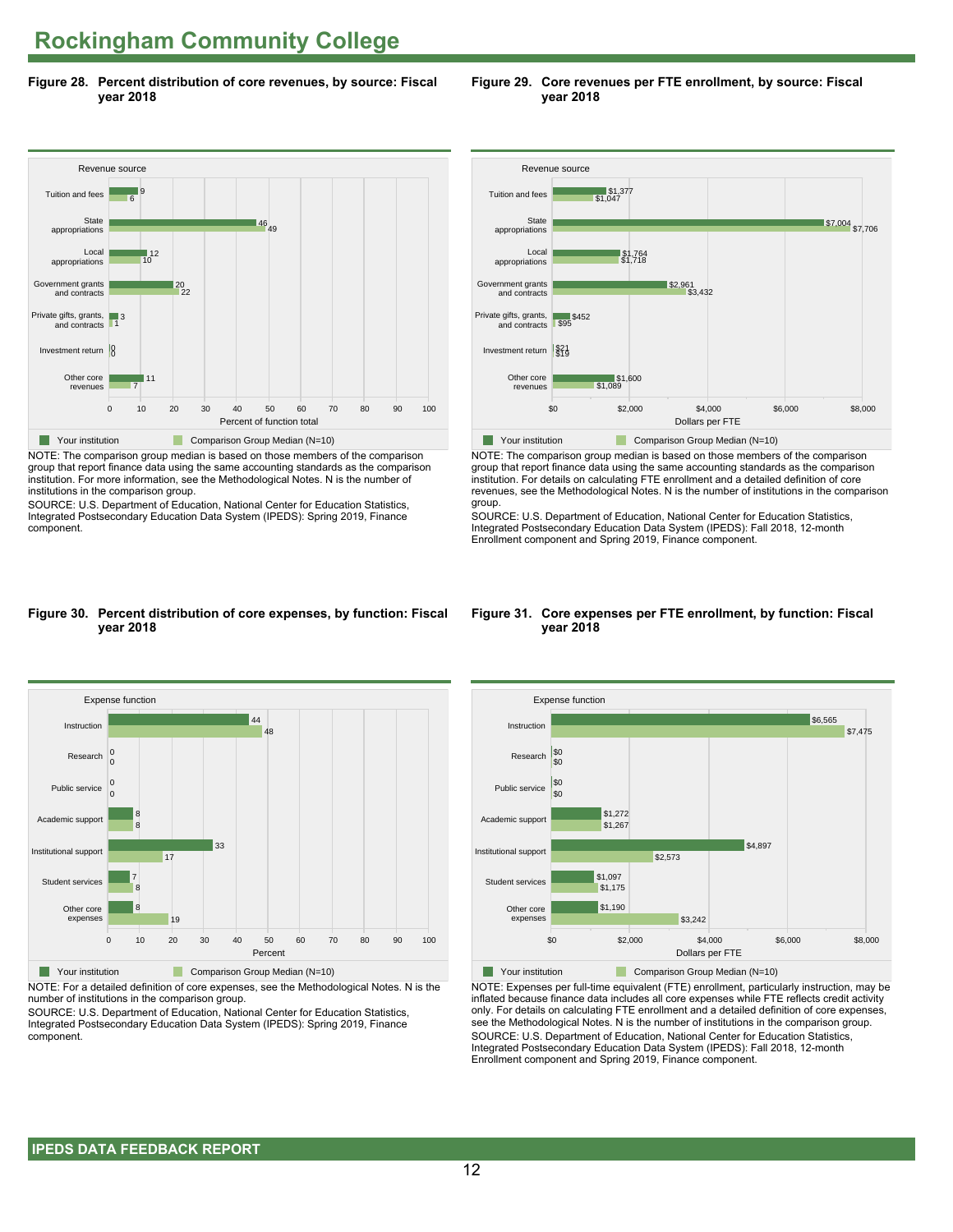**Figure 28. Percent distribution of core revenues, by source: Fiscal year 2018**



NOTE: The comparison group median is based on those members of the comparison group that report finance data using the same accounting standards as the comparison institution. For more information, see the Methodological Notes. N is the number of institutions in the comparison group.

SOURCE: U.S. Department of Education, National Center for Education Statistics, Integrated Postsecondary Education Data System (IPEDS): Spring 2019, Finance component.



**Figure 29. Core revenues per FTE enrollment, by source: Fiscal**



NOTE: The comparison group median is based on those members of the comparison group that report finance data using the same accounting standards as the comparison institution. For details on calculating FTE enrollment and a detailed definition of core revenues, see the Methodological Notes. N is the number of institutions in the comparison group.

SOURCE: U.S. Department of Education, National Center for Education Statistics, Integrated Postsecondary Education Data System (IPEDS): Fall 2018, 12-month Enrollment component and Spring 2019, Finance component.

#### **Figure 30. Percent distribution of core expenses, by function: Fiscal year 2018**



NOTE: For a detailed definition of core expenses, see the Methodological Notes. N is the number of institutions in the comparison group.

SOURCE: U.S. Department of Education, National Center for Education Statistics, Integrated Postsecondary Education Data System (IPEDS): Spring 2019, Finance component.

#### **Figure 31. Core expenses per FTE enrollment, by function: Fiscal year 2018**



NOTE: Expenses per full-time equivalent (FTE) enrollment, particularly instruction, may be inflated because finance data includes all core expenses while FTE reflects credit activity only. For details on calculating FTE enrollment and a detailed definition of core expenses, see the Methodological Notes. N is the number of institutions in the comparison group. SOURCE: U.S. Department of Education, National Center for Education Statistics, Integrated Postsecondary Education Data System (IPEDS): Fall 2018, 12-month Enrollment component and Spring 2019, Finance component.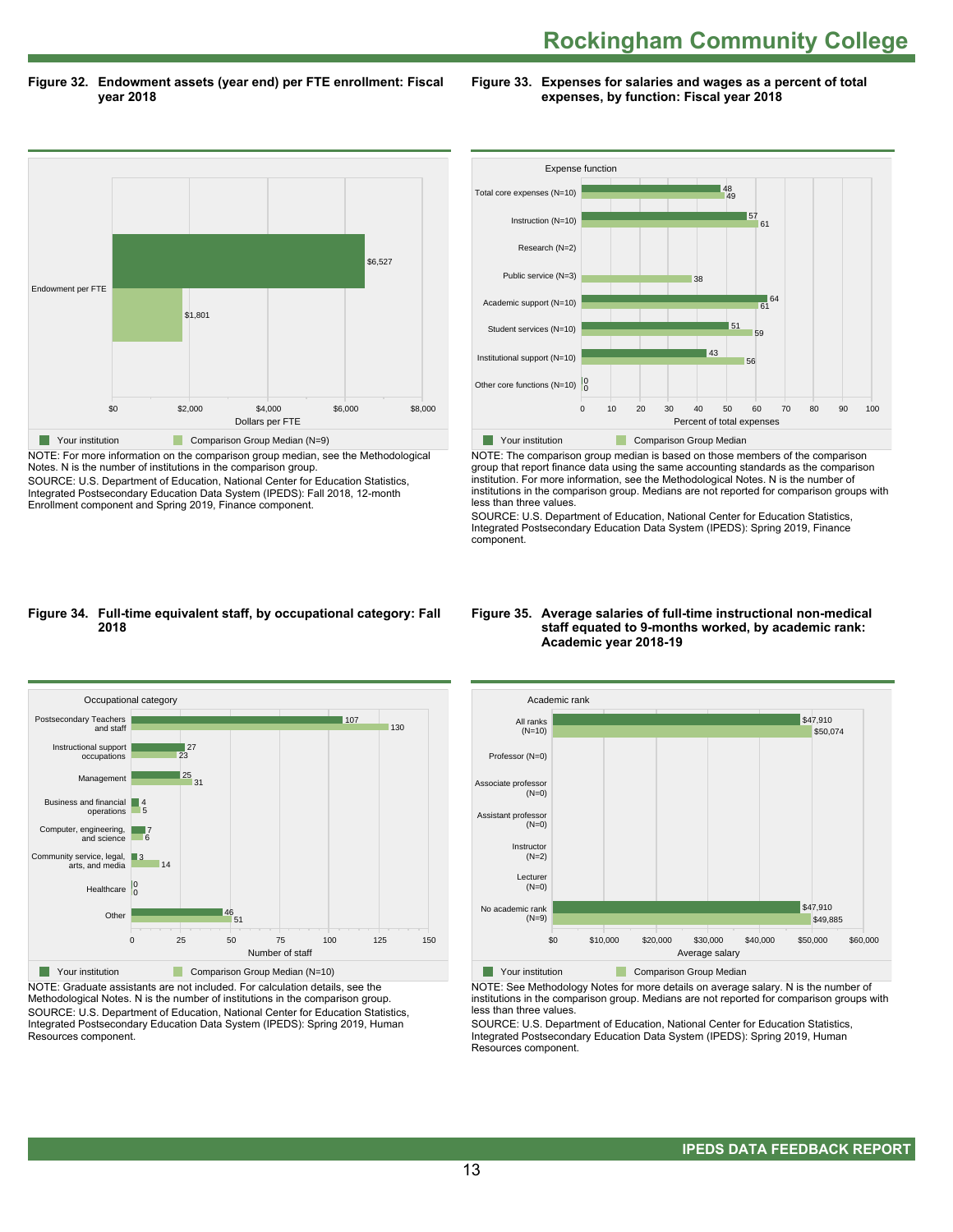**Figure 32. Endowment assets (year end) per FTE enrollment: Fiscal year 2018**

**Figure 33. Expenses for salaries and wages as a percent of total expenses, by function: Fiscal year 2018**



NOTE: For more information on the comparison group median, see the Methodological Notes. N is the number of institutions in the comparison group.

SOURCE: U.S. Department of Education, National Center for Education Statistics, Integrated Postsecondary Education Data System (IPEDS): Fall 2018, 12-month Enrollment component and Spring 2019, Finance component.



NOTE: The comparison group median is based on those members of the comparison group that report finance data using the same accounting standards as the comparison institution. For more information, see the Methodological Notes. N is the number of institutions in the comparison group. Medians are not reported for comparison groups with less than three values.

SOURCE: U.S. Department of Education, National Center for Education Statistics, Integrated Postsecondary Education Data System (IPEDS): Spring 2019, Finance component.

#### **Figure 34. Full-time equivalent staff, by occupational category: Fall 2018**



NOTE: Graduate assistants are not included. For calculation details, see the Methodological Notes. N is the number of institutions in the comparison group. SOURCE: U.S. Department of Education, National Center for Education Statistics, Integrated Postsecondary Education Data System (IPEDS): Spring 2019, Human Resources component.

#### **Figure 35. Average salaries of full-time instructional non-medical staff equated to 9-months worked, by academic rank: Academic year 2018-19**



NOTE: See Methodology Notes for more details on average salary. N is the number of institutions in the comparison group. Medians are not reported for comparison groups with less than three values.

SOURCE: U.S. Department of Education, National Center for Education Statistics, Integrated Postsecondary Education Data System (IPEDS): Spring 2019, Human Resources component.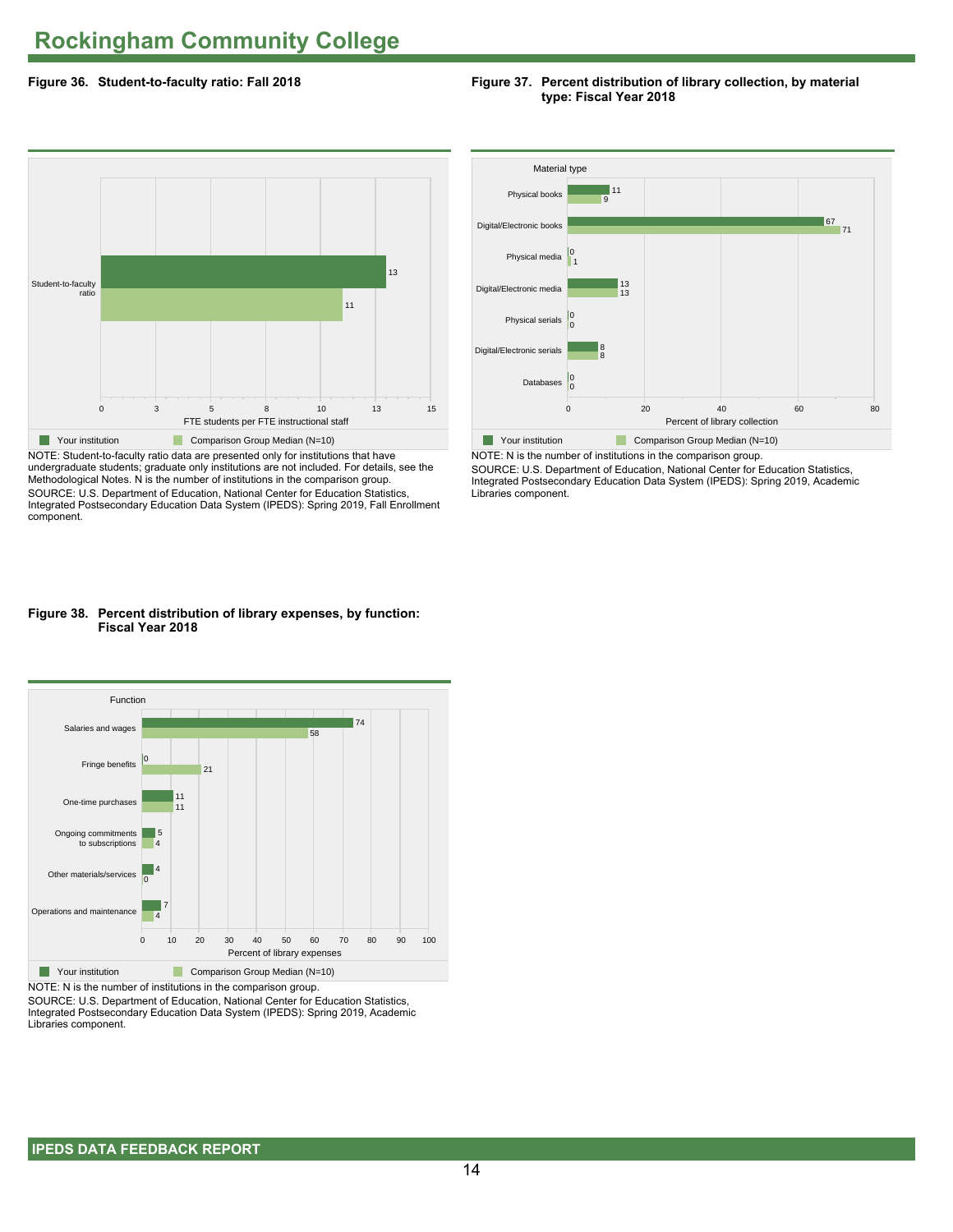#### **Figure 36. Student-to-faculty ratio: Fall 2018**

#### **Figure 37. Percent distribution of library collection, by material type: Fiscal Year 2018**



NOTE: Student-to-faculty ratio data are presented only for institutions that have undergraduate students; graduate only institutions are not included. For details, see the Methodological Notes. N is the number of institutions in the comparison group. SOURCE: U.S. Department of Education, National Center for Education Statistics, Integrated Postsecondary Education Data System (IPEDS): Spring 2019, Fall Enrollment component.



SOURCE: U.S. Department of Education, National Center for Education Statistics, Integrated Postsecondary Education Data System (IPEDS): Spring 2019, Academic Libraries component.

#### **Figure 38. Percent distribution of library expenses, by function: Fiscal Year 2018**



NOTE: N is the number of institutions in the comparison group.

SOURCE: U.S. Department of Education, National Center for Education Statistics, Integrated Postsecondary Education Data System (IPEDS): Spring 2019, Academic Libraries component.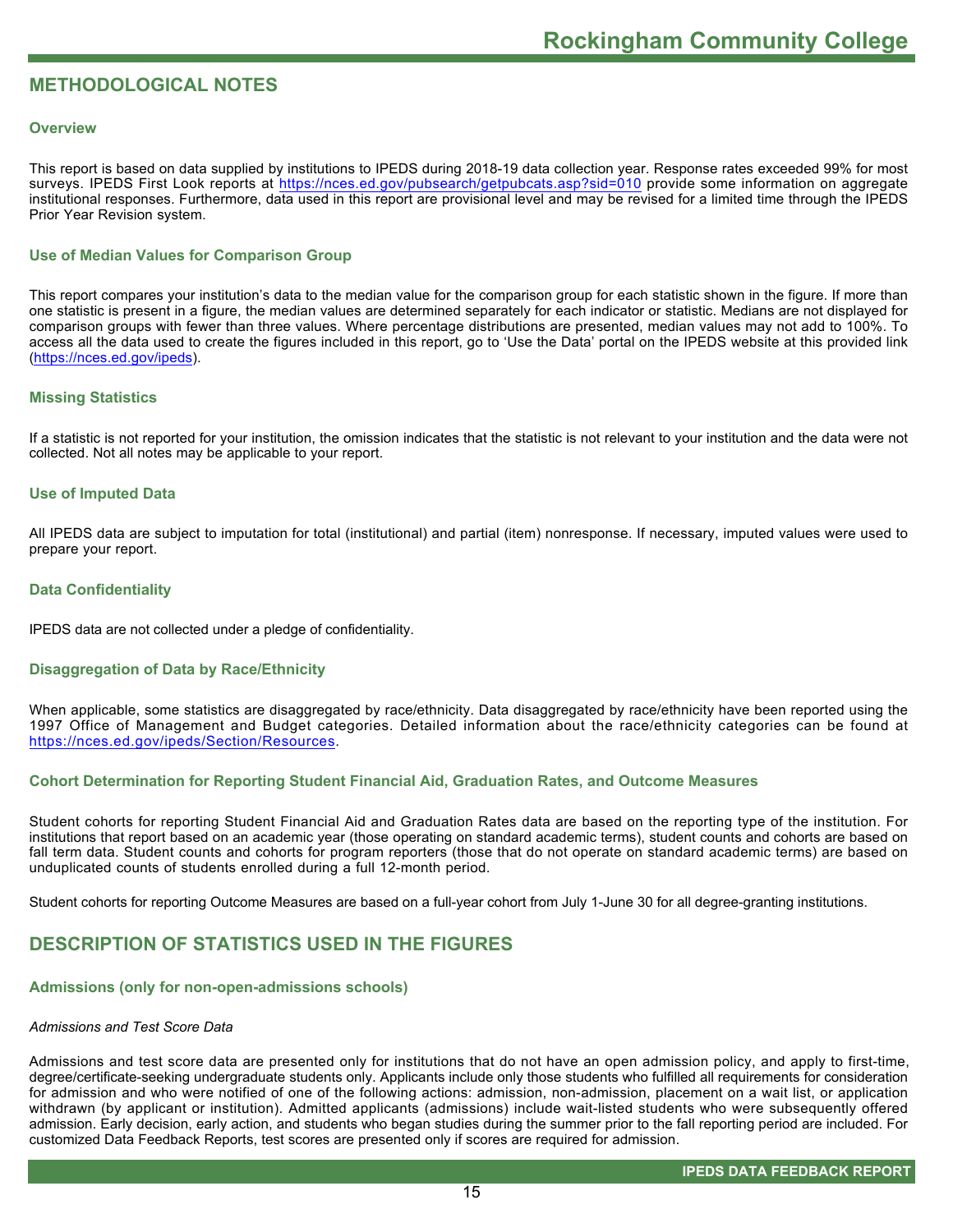#### **METHODOLOGICAL NOTES**

#### **Overview**

This report is based on data supplied by institutions to IPEDS during 2018-19 data collection year. Response rates exceeded 99% for most surveys. IPEDS First Look reports at<https://nces.ed.gov/pubsearch/getpubcats.asp?sid=010> provide some information on aggregate institutional responses. Furthermore, data used in this report are provisional level and may be revised for a limited time through the IPEDS Prior Year Revision system.

#### **Use of Median Values for Comparison Group**

This report compares your institution's data to the median value for the comparison group for each statistic shown in the figure. If more than one statistic is present in a figure, the median values are determined separately for each indicator or statistic. Medians are not displayed for comparison groups with fewer than three values. Where percentage distributions are presented, median values may not add to 100%. To access all the data used to create the figures included in this report, go to 'Use the Data' portal on the IPEDS website at this provided link ([https://nces.ed.gov/ipeds\)](https://nces.ed.gov/ipeds).

#### **Missing Statistics**

If a statistic is not reported for your institution, the omission indicates that the statistic is not relevant to your institution and the data were not collected. Not all notes may be applicable to your report.

#### **Use of Imputed Data**

All IPEDS data are subject to imputation for total (institutional) and partial (item) nonresponse. If necessary, imputed values were used to prepare your report.

#### **Data Confidentiality**

IPEDS data are not collected under a pledge of confidentiality.

#### **Disaggregation of Data by Race/Ethnicity**

When applicable, some statistics are disaggregated by race/ethnicity. Data disaggregated by race/ethnicity have been reported using the 1997 Office of Management and Budget categories. Detailed information about the race/ethnicity categories can be found at <https://nces.ed.gov/ipeds/Section/Resources>.

#### **Cohort Determination for Reporting Student Financial Aid, Graduation Rates, and Outcome Measures**

Student cohorts for reporting Student Financial Aid and Graduation Rates data are based on the reporting type of the institution. For institutions that report based on an academic year (those operating on standard academic terms), student counts and cohorts are based on fall term data. Student counts and cohorts for program reporters (those that do not operate on standard academic terms) are based on unduplicated counts of students enrolled during a full 12-month period.

Student cohorts for reporting Outcome Measures are based on a full-year cohort from July 1-June 30 for all degree-granting institutions.

#### **DESCRIPTION OF STATISTICS USED IN THE FIGURES**

#### **Admissions (only for non-open-admissions schools)**

#### *Admissions and Test Score Data*

Admissions and test score data are presented only for institutions that do not have an open admission policy, and apply to first-time, degree/certificate-seeking undergraduate students only. Applicants include only those students who fulfilled all requirements for consideration for admission and who were notified of one of the following actions: admission, non-admission, placement on a wait list, or application withdrawn (by applicant or institution). Admitted applicants (admissions) include wait-listed students who were subsequently offered admission. Early decision, early action, and students who began studies during the summer prior to the fall reporting period are included. For customized Data Feedback Reports, test scores are presented only if scores are required for admission.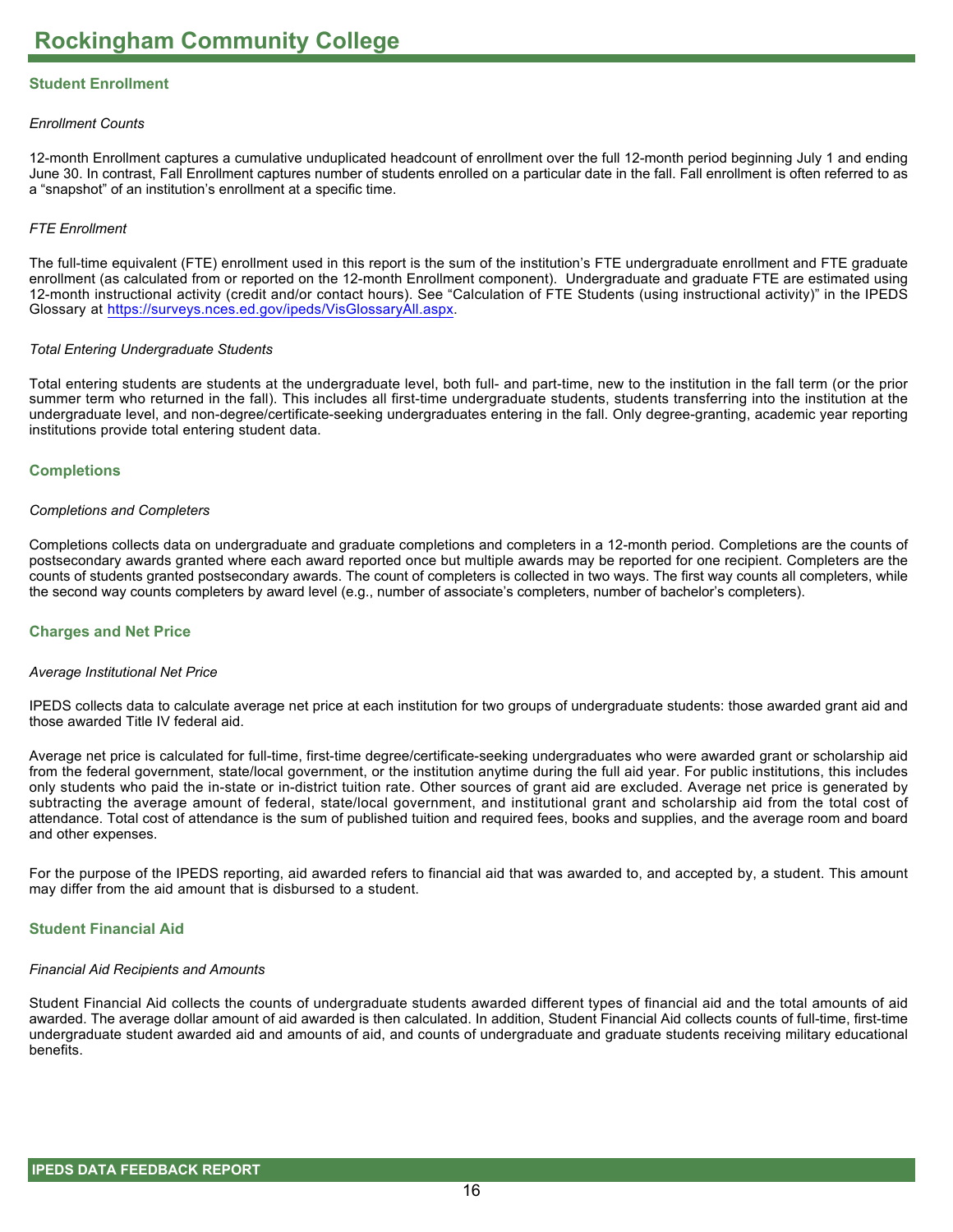#### **Student Enrollment**

#### *Enrollment Counts*

12-month Enrollment captures a cumulative unduplicated headcount of enrollment over the full 12-month period beginning July 1 and ending June 30. In contrast, Fall Enrollment captures number of students enrolled on a particular date in the fall. Fall enrollment is often referred to as a "snapshot" of an institution's enrollment at a specific time.

#### *FTE Enrollment*

The full-time equivalent (FTE) enrollment used in this report is the sum of the institution's FTE undergraduate enrollment and FTE graduate enrollment (as calculated from or reported on the 12-month Enrollment component). Undergraduate and graduate FTE are estimated using 12-month instructional activity (credit and/or contact hours). See "Calculation of FTE Students (using instructional activity)" in the IPEDS Glossary at <https://surveys.nces.ed.gov/ipeds/VisGlossaryAll.aspx>.

#### *Total Entering Undergraduate Students*

Total entering students are students at the undergraduate level, both full- and part-time, new to the institution in the fall term (or the prior summer term who returned in the fall). This includes all first-time undergraduate students, students transferring into the institution at the undergraduate level, and non-degree/certificate-seeking undergraduates entering in the fall. Only degree-granting, academic year reporting institutions provide total entering student data.

#### **Completions**

#### *Completions and Completers*

Completions collects data on undergraduate and graduate completions and completers in a 12-month period. Completions are the counts of postsecondary awards granted where each award reported once but multiple awards may be reported for one recipient. Completers are the counts of students granted postsecondary awards. The count of completers is collected in two ways. The first way counts all completers, while the second way counts completers by award level (e.g., number of associate's completers, number of bachelor's completers).

#### **Charges and Net Price**

#### *Average Institutional Net Price*

IPEDS collects data to calculate average net price at each institution for two groups of undergraduate students: those awarded grant aid and those awarded Title IV federal aid.

Average net price is calculated for full-time, first-time degree/certificate-seeking undergraduates who were awarded grant or scholarship aid from the federal government, state/local government, or the institution anytime during the full aid year. For public institutions, this includes only students who paid the in-state or in-district tuition rate. Other sources of grant aid are excluded. Average net price is generated by subtracting the average amount of federal, state/local government, and institutional grant and scholarship aid from the total cost of attendance. Total cost of attendance is the sum of published tuition and required fees, books and supplies, and the average room and board and other expenses.

For the purpose of the IPEDS reporting, aid awarded refers to financial aid that was awarded to, and accepted by, a student. This amount may differ from the aid amount that is disbursed to a student.

#### **Student Financial Aid**

#### *Financial Aid Recipients and Amounts*

Student Financial Aid collects the counts of undergraduate students awarded different types of financial aid and the total amounts of aid awarded. The average dollar amount of aid awarded is then calculated. In addition, Student Financial Aid collects counts of full-time, first-time undergraduate student awarded aid and amounts of aid, and counts of undergraduate and graduate students receiving military educational benefits.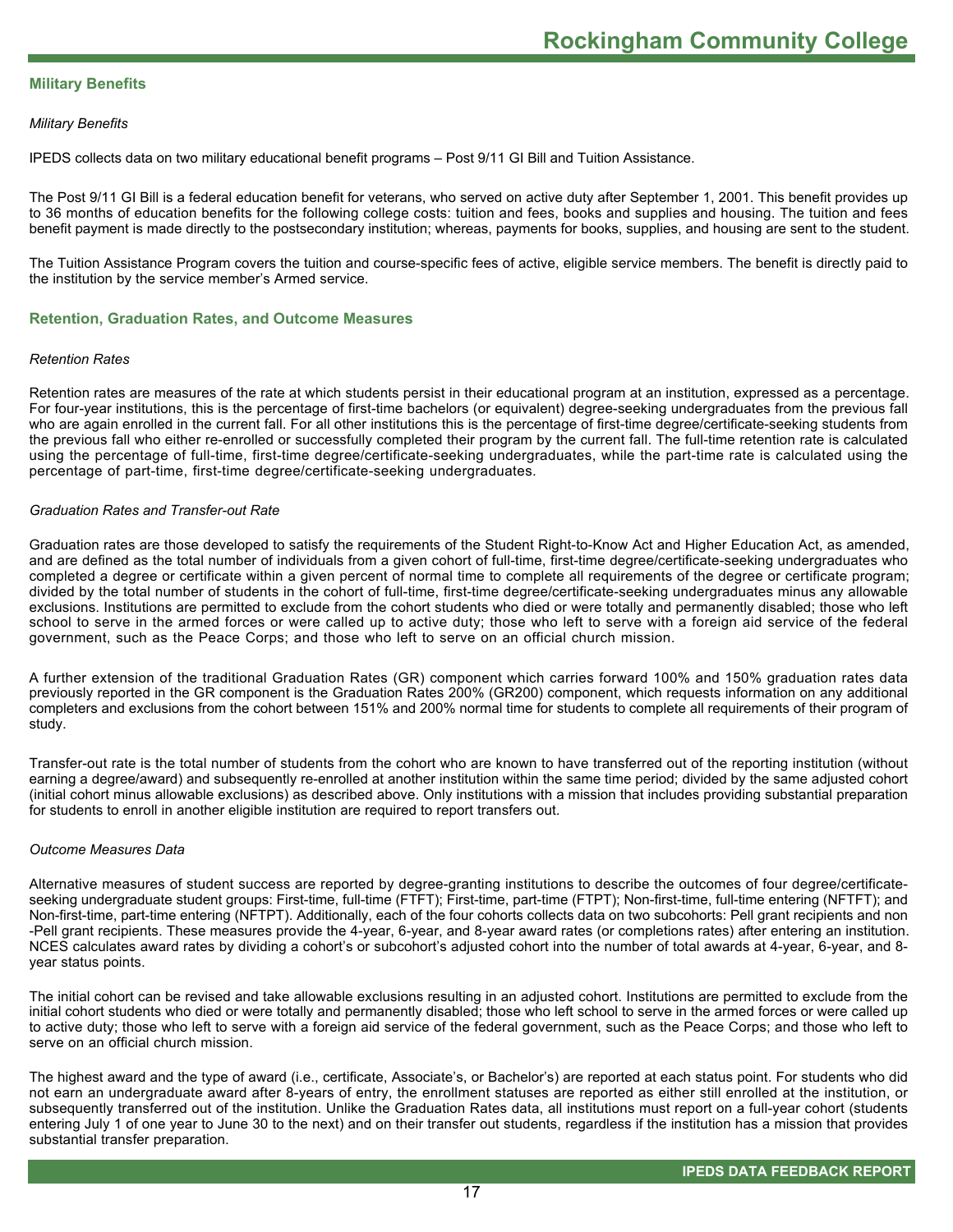#### **Military Benefits**

#### *Military Benefits*

IPEDS collects data on two military educational benefit programs – Post 9/11 GI Bill and Tuition Assistance.

The Post 9/11 GI Bill is a federal education benefit for veterans, who served on active duty after September 1, 2001. This benefit provides up to 36 months of education benefits for the following college costs: tuition and fees, books and supplies and housing. The tuition and fees benefit payment is made directly to the postsecondary institution; whereas, payments for books, supplies, and housing are sent to the student.

The Tuition Assistance Program covers the tuition and course-specific fees of active, eligible service members. The benefit is directly paid to the institution by the service member's Armed service.

#### **Retention, Graduation Rates, and Outcome Measures**

#### *Retention Rates*

Retention rates are measures of the rate at which students persist in their educational program at an institution, expressed as a percentage. For four-year institutions, this is the percentage of first-time bachelors (or equivalent) degree-seeking undergraduates from the previous fall who are again enrolled in the current fall. For all other institutions this is the percentage of first-time degree/certificate-seeking students from the previous fall who either re-enrolled or successfully completed their program by the current fall. The full-time retention rate is calculated using the percentage of full-time, first-time degree/certificate-seeking undergraduates, while the part-time rate is calculated using the percentage of part-time, first-time degree/certificate-seeking undergraduates.

#### *Graduation Rates and Transfer-out Rate*

Graduation rates are those developed to satisfy the requirements of the Student Right-to-Know Act and Higher Education Act, as amended, and are defined as the total number of individuals from a given cohort of full-time, first-time degree/certificate-seeking undergraduates who completed a degree or certificate within a given percent of normal time to complete all requirements of the degree or certificate program; divided by the total number of students in the cohort of full-time, first-time degree/certificate-seeking undergraduates minus any allowable exclusions. Institutions are permitted to exclude from the cohort students who died or were totally and permanently disabled; those who left school to serve in the armed forces or were called up to active duty; those who left to serve with a foreign aid service of the federal government, such as the Peace Corps; and those who left to serve on an official church mission.

A further extension of the traditional Graduation Rates (GR) component which carries forward 100% and 150% graduation rates data previously reported in the GR component is the Graduation Rates 200% (GR200) component, which requests information on any additional completers and exclusions from the cohort between 151% and 200% normal time for students to complete all requirements of their program of study.

Transfer-out rate is the total number of students from the cohort who are known to have transferred out of the reporting institution (without earning a degree/award) and subsequently re-enrolled at another institution within the same time period; divided by the same adjusted cohort (initial cohort minus allowable exclusions) as described above. Only institutions with a mission that includes providing substantial preparation for students to enroll in another eligible institution are required to report transfers out.

#### *Outcome Measures Data*

Alternative measures of student success are reported by degree-granting institutions to describe the outcomes of four degree/certificateseeking undergraduate student groups: First-time, full-time (FTFT); First-time, part-time (FTPT); Non-first-time, full-time entering (NFTFT); and Non-first-time, part-time entering (NFTPT). Additionally, each of the four cohorts collects data on two subcohorts: Pell grant recipients and non -Pell grant recipients. These measures provide the 4-year, 6-year, and 8-year award rates (or completions rates) after entering an institution. NCES calculates award rates by dividing a cohort's or subcohort's adjusted cohort into the number of total awards at 4-year, 6-year, and 8year status points.

The initial cohort can be revised and take allowable exclusions resulting in an adjusted cohort. Institutions are permitted to exclude from the initial cohort students who died or were totally and permanently disabled; those who left school to serve in the armed forces or were called up to active duty; those who left to serve with a foreign aid service of the federal government, such as the Peace Corps; and those who left to serve on an official church mission.

The highest award and the type of award (i.e., certificate, Associate's, or Bachelor's) are reported at each status point. For students who did not earn an undergraduate award after 8-years of entry, the enrollment statuses are reported as either still enrolled at the institution, or subsequently transferred out of the institution. Unlike the Graduation Rates data, all institutions must report on a full-year cohort (students entering July 1 of one year to June 30 to the next) and on their transfer out students, regardless if the institution has a mission that provides substantial transfer preparation.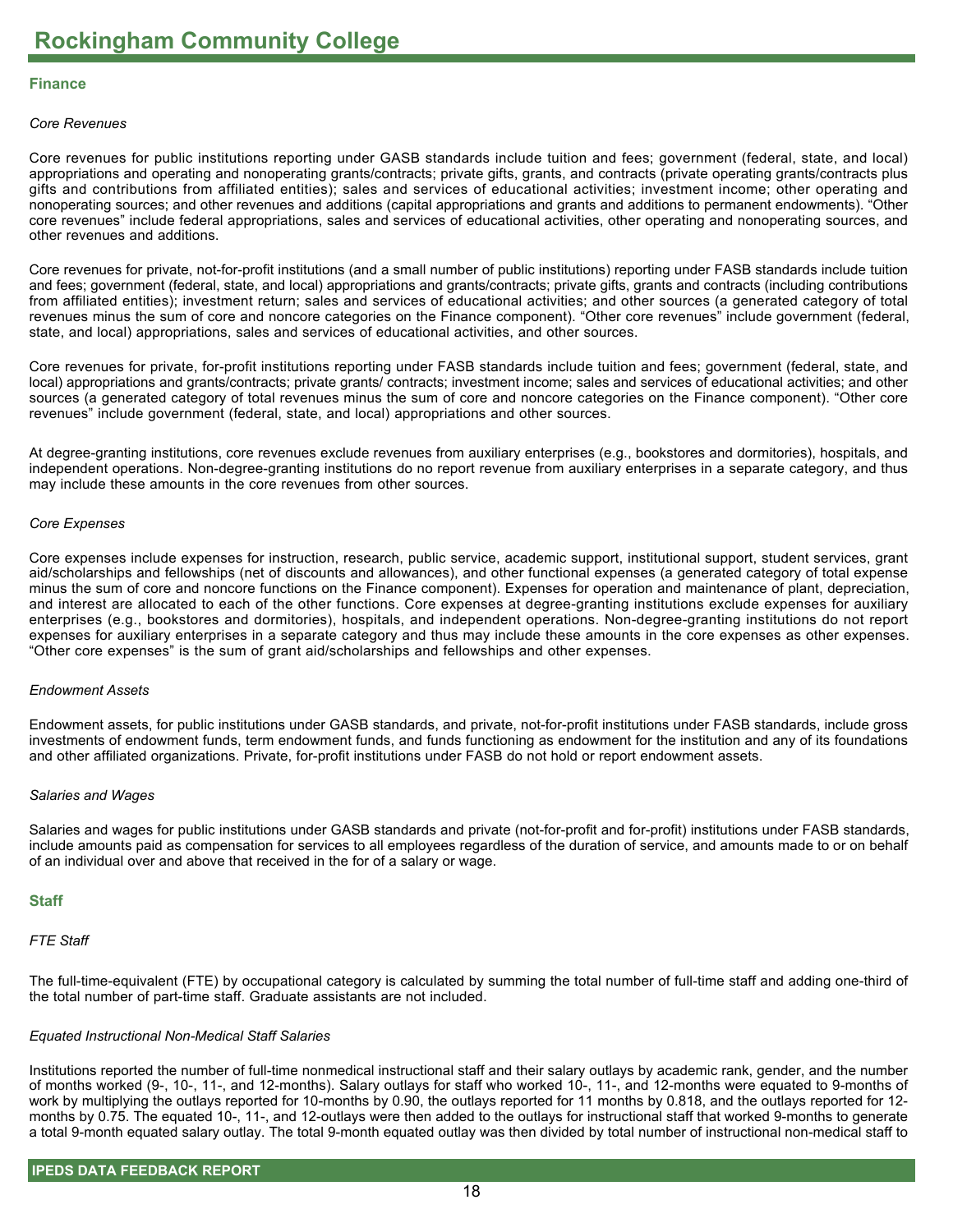#### **Finance**

#### *Core Revenues*

Core revenues for public institutions reporting under GASB standards include tuition and fees; government (federal, state, and local) appropriations and operating and nonoperating grants/contracts; private gifts, grants, and contracts (private operating grants/contracts plus gifts and contributions from affiliated entities); sales and services of educational activities; investment income; other operating and nonoperating sources; and other revenues and additions (capital appropriations and grants and additions to permanent endowments). "Other core revenues" include federal appropriations, sales and services of educational activities, other operating and nonoperating sources, and other revenues and additions.

Core revenues for private, not-for-profit institutions (and a small number of public institutions) reporting under FASB standards include tuition and fees; government (federal, state, and local) appropriations and grants/contracts; private gifts, grants and contracts (including contributions from affiliated entities); investment return; sales and services of educational activities; and other sources (a generated category of total revenues minus the sum of core and noncore categories on the Finance component). "Other core revenues" include government (federal, state, and local) appropriations, sales and services of educational activities, and other sources.

Core revenues for private, for-profit institutions reporting under FASB standards include tuition and fees; government (federal, state, and local) appropriations and grants/contracts; private grants/ contracts; investment income; sales and services of educational activities; and other sources (a generated category of total revenues minus the sum of core and noncore categories on the Finance component). "Other core revenues" include government (federal, state, and local) appropriations and other sources.

At degree-granting institutions, core revenues exclude revenues from auxiliary enterprises (e.g., bookstores and dormitories), hospitals, and independent operations. Non-degree-granting institutions do no report revenue from auxiliary enterprises in a separate category, and thus may include these amounts in the core revenues from other sources.

#### *Core Expenses*

Core expenses include expenses for instruction, research, public service, academic support, institutional support, student services, grant aid/scholarships and fellowships (net of discounts and allowances), and other functional expenses (a generated category of total expense minus the sum of core and noncore functions on the Finance component). Expenses for operation and maintenance of plant, depreciation, and interest are allocated to each of the other functions. Core expenses at degree-granting institutions exclude expenses for auxiliary enterprises (e.g., bookstores and dormitories), hospitals, and independent operations. Non-degree-granting institutions do not report expenses for auxiliary enterprises in a separate category and thus may include these amounts in the core expenses as other expenses. "Other core expenses" is the sum of grant aid/scholarships and fellowships and other expenses.

#### *Endowment Assets*

Endowment assets, for public institutions under GASB standards, and private, not-for-profit institutions under FASB standards, include gross investments of endowment funds, term endowment funds, and funds functioning as endowment for the institution and any of its foundations and other affiliated organizations. Private, for-profit institutions under FASB do not hold or report endowment assets.

#### *Salaries and Wages*

Salaries and wages for public institutions under GASB standards and private (not-for-profit and for-profit) institutions under FASB standards, include amounts paid as compensation for services to all employees regardless of the duration of service, and amounts made to or on behalf of an individual over and above that received in the for of a salary or wage.

#### **Staff**

#### *FTE Staff*

The full-time-equivalent (FTE) by occupational category is calculated by summing the total number of full-time staff and adding one-third of the total number of part-time staff. Graduate assistants are not included.

#### *Equated Instructional Non-Medical Staff Salaries*

Institutions reported the number of full-time nonmedical instructional staff and their salary outlays by academic rank, gender, and the number of months worked (9-, 10-, 11-, and 12-months). Salary outlays for staff who worked 10-, 11-, and 12-months were equated to 9-months of work by multiplying the outlays reported for 10-months by 0.90, the outlays reported for 11 months by 0.818, and the outlays reported for 12 months by 0.75. The equated 10-, 11-, and 12-outlays were then added to the outlays for instructional staff that worked 9-months to generate a total 9-month equated salary outlay. The total 9-month equated outlay was then divided by total number of instructional non-medical staff to